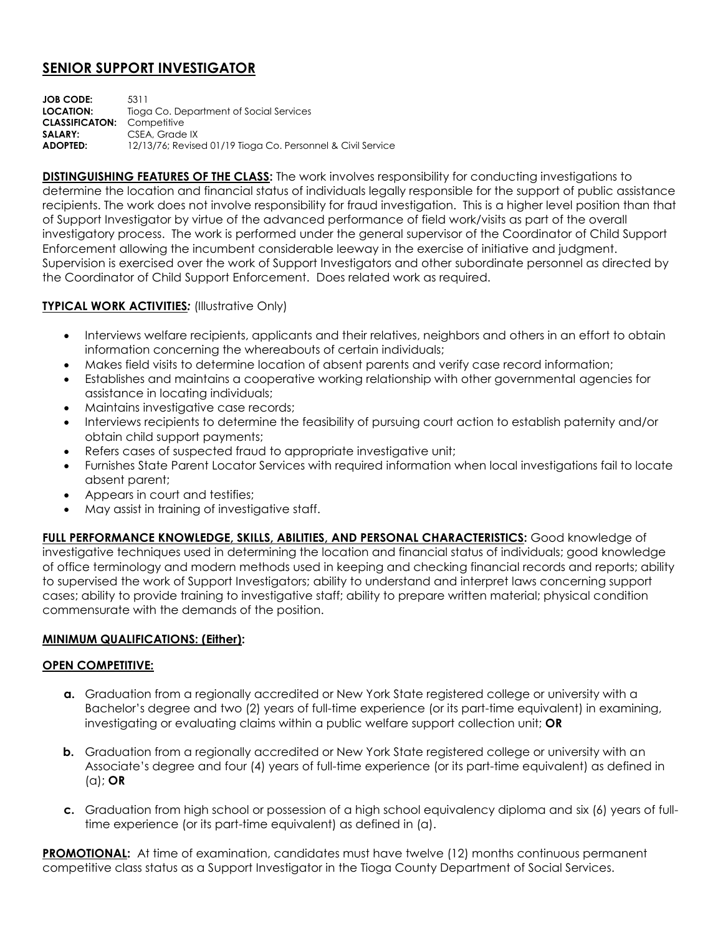## **SENIOR SUPPORT INVESTIGATOR**

**JOB CODE:** 5311 **LOCATION:** Tioga Co. Department of Social Services **CLASSIFICATON:** Competitive SALARY: CSEA, Grade IX **ADOPTED:** 12/13/76; Revised 01/19 Tioga Co. Personnel & Civil Service

**DISTINGUISHING FEATURES OF THE CLASS:** The work involves responsibility for conducting investigations to determine the location and financial status of individuals legally responsible for the support of public assistance recipients. The work does not involve responsibility for fraud investigation. This is a higher level position than that of Support Investigator by virtue of the advanced performance of field work/visits as part of the overall investigatory process. The work is performed under the general supervisor of the Coordinator of Child Support Enforcement allowing the incumbent considerable leeway in the exercise of initiative and judgment. Supervision is exercised over the work of Support Investigators and other subordinate personnel as directed by the Coordinator of Child Support Enforcement. Does related work as required.

## **TYPICAL WORK ACTIVITIES***:* (Illustrative Only)

- Interviews welfare recipients, applicants and their relatives, neighbors and others in an effort to obtain information concerning the whereabouts of certain individuals;
- Makes field visits to determine location of absent parents and verify case record information;
- Establishes and maintains a cooperative working relationship with other governmental agencies for assistance in locating individuals;
- Maintains investigative case records;
- Interviews recipients to determine the feasibility of pursuing court action to establish paternity and/or obtain child support payments;
- Refers cases of suspected fraud to appropriate investigative unit;
- Furnishes State Parent Locator Services with required information when local investigations fail to locate absent parent;
- Appears in court and testifies:
- May assist in training of investigative staff.

**FULL PERFORMANCE KNOWLEDGE, SKILLS, ABILITIES, AND PERSONAL CHARACTERISTICS:** Good knowledge of investigative techniques used in determining the location and financial status of individuals; good knowledge of office terminology and modern methods used in keeping and checking financial records and reports; ability to supervised the work of Support Investigators; ability to understand and interpret laws concerning support cases; ability to provide training to investigative staff; ability to prepare written material; physical condition commensurate with the demands of the position.

## **MINIMUM QUALIFICATIONS: (Either):**

## **OPEN COMPETITIVE:**

- **a.** Graduation from a regionally accredited or New York State registered college or university with a Bachelor's degree and two (2) years of full-time experience (or its part-time equivalent) in examining, investigating or evaluating claims within a public welfare support collection unit; **OR**
- **b.** Graduation from a regionally accredited or New York State registered college or university with an Associate's degree and four (4) years of full-time experience (or its part-time equivalent) as defined in (a); **OR**
- **c.** Graduation from high school or possession of a high school equivalency diploma and six (6) years of fulltime experience (or its part-time equivalent) as defined in (a).

**PROMOTIONAL:** At time of examination, candidates must have twelve (12) months continuous permanent competitive class status as a Support Investigator in the Tioga County Department of Social Services.